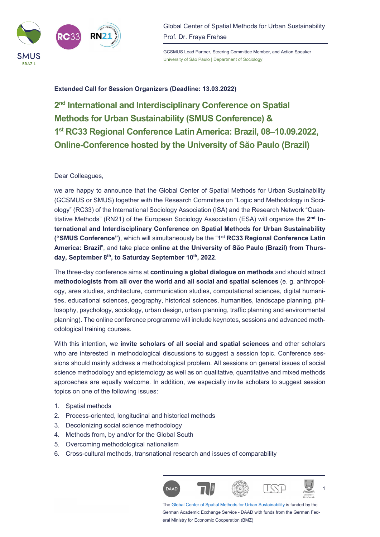

Global Center of Spatial Methods for Urban Sustainability Prof. Dr. Fraya Frehse

GCSMUS Lead Partner, Steering Committee Member, and Action Speaker University of São Paulo | Department of Sociology

## **Extended Call for Session Organizers (Deadline: 13.03.2022)**

**2nd International and Interdisciplinary Conference on Spatial Methods for Urban Sustainability (SMUS Conference) & 1st RC33 Regional Conference Latin America: Brazil, 08‒10.09.2022, Online-Conference hosted by the University of São Paulo (Brazil)** 

## Dear Colleagues,

we are happy to announce that the Global Center of Spatial Methods for Urban Sustainability (GCSMUS or SMUS) together with the Research Committee on "Logic and Methodology in Sociology" (RC33) of the International Sociology Association (ISA) and the Research Network "Quantitative Methods" (RN21) of the European Sociology Association (ESA) will organize the **2nd International and Interdisciplinary Conference on Spatial Methods for Urban Sustainability ("SMUS Conference")**, which will simultaneously be the "**1st RC33 Regional Conference Latin America: Brazil**", and take place **online at the University of São Paulo (Brazil) from Thursday, September 8th, to Saturday September 10th, 2022**.

The three-day conference aims at **continuing a global dialogue on methods** and should attract **methodologists from all over the world and all social and spatial sciences** (e. g. anthropology, area studies, architecture, communication studies, computational sciences, digital humanities, educational sciences, geography, historical sciences, humanities, landscape planning, philosophy, psychology, sociology, urban design, urban planning, traffic planning and environmental planning). The online conference programme will include keynotes, sessions and advanced methodological training courses.

With this intention, we **invite scholars of all social and spatial sciences** and other scholars who are interested in methodological discussions to suggest a session topic. Conference sessions should mainly address a methodological problem. All sessions on general issues of social science methodology and epistemology as well as on qualitative, quantitative and mixed methods approaches are equally welcome. In addition, we especially invite scholars to suggest session topics on one of the following issues:

- 1. Spatial methods
- 2. Process-oriented, longitudinal and historical methods
- 3. Decolonizing social science methodology
- 4. Methods from, by and/or for the Global South
- 5. Overcoming methodological nationalism
- 6. Cross-cultural methods, transnational research and issues of comparability



The Global Center of Spatial Methods for Urban Sustainability is funded by the German Academic Exchange Service - DAAD with funds from the German Federal Ministry for Economic Cooperation (BMZ)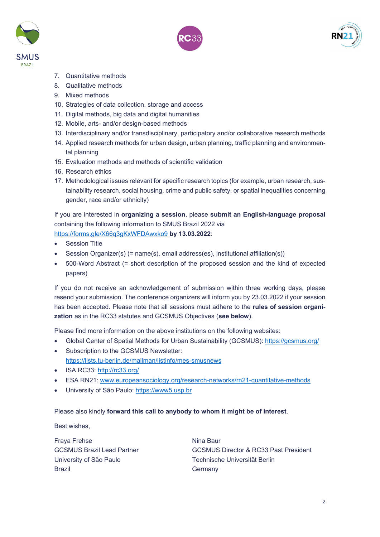





- 7. Quantitative methods
- 8. Qualitative methods
- 9. Mixed methods
- 10. Strategies of data collection, storage and access
- 11. Digital methods, big data and digital humanities
- 12. Mobile, arts- and/or design-based methods
- 13. Interdisciplinary and/or transdisciplinary, participatory and/or collaborative research methods
- 14. Applied research methods for urban design, urban planning, traffic planning and environmental planning
- 15. Evaluation methods and methods of scientific validation
- 16. Research ethics
- 17. Methodological issues relevant for specific research topics (for example, urban research, sustainability research, social housing, crime and public safety, or spatial inequalities concerning gender, race and/or ethnicity)

If you are interested in **organizing a session**, please **submit an English-language proposal** containing the following information to SMUS Brazil 2022 via

https://forms.gle/X66q3gKxWFDAwxko9 **by 13.03.2022**:

- Session Title
- Session Organizer(s) (= name(s), email address(es), institutional affiliation(s))
- 500-Word Abstract (= short description of the proposed session and the kind of expected papers)

If you do not receive an acknowledgement of submission within three working days, please resend your submission. The conference organizers will inform you by 23.03.2022 if your session has been accepted. Please note that all sessions must adhere to the **rules of session organization** as in the RC33 statutes and GCSMUS Objectives (**see below**).

Please find more information on the above institutions on the following websites:

- Global Center of Spatial Methods for Urban Sustainability (GCSMUS): https://gcsmus.org/
- Subscription to the GCSMUS Newsletter: https://lists.tu-berlin.de/mailman/listinfo/mes-smusnews
- ISA RC33: http://rc33.org/
- ESA RN21: www.europeansociology.org/research-networks/rn21-quantitative-methods
- University of São Paulo: https://www5.usp.br

## Please also kindly **forward this call to anybody to whom it might be of interest**.

Best wishes,

Fraya Frehse Nina Baur University of São Paulo **Technische Universität Berlin** Brazil **Brazil** Germany

GCSMUS Brazil Lead Partner GCSMUS Director & RC33 Past President